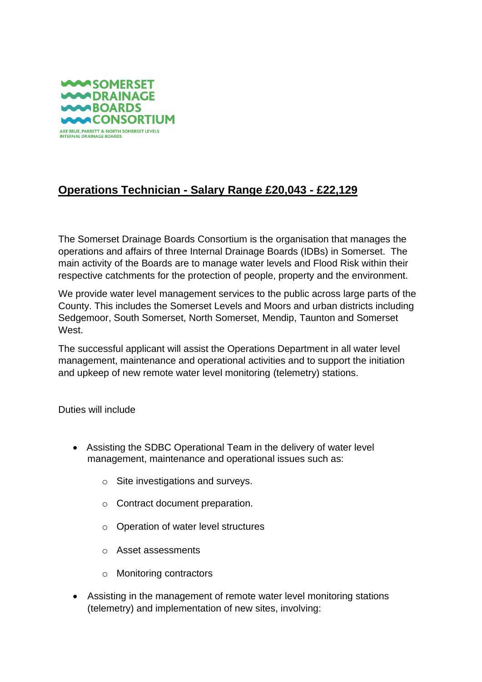

## **Operations Technician - Salary Range £20,043 - £22,129**

The Somerset Drainage Boards Consortium is the organisation that manages the operations and affairs of three Internal Drainage Boards (IDBs) in Somerset. The main activity of the Boards are to manage water levels and Flood Risk within their respective catchments for the protection of people, property and the environment.

We provide water level management services to the public across large parts of the County. This includes the Somerset Levels and Moors and urban districts including Sedgemoor, South Somerset, North Somerset, Mendip, Taunton and Somerset West.

The successful applicant will assist the Operations Department in all water level management, maintenance and operational activities and to support the initiation and upkeep of new remote water level monitoring (telemetry) stations.

Duties will include

- Assisting the SDBC Operational Team in the delivery of water level management, maintenance and operational issues such as:
	- o Site investigations and surveys.
	- o Contract document preparation.
	- o Operation of water level structures
	- o Asset assessments
	- o Monitoring contractors
- Assisting in the management of remote water level monitoring stations (telemetry) and implementation of new sites, involving: